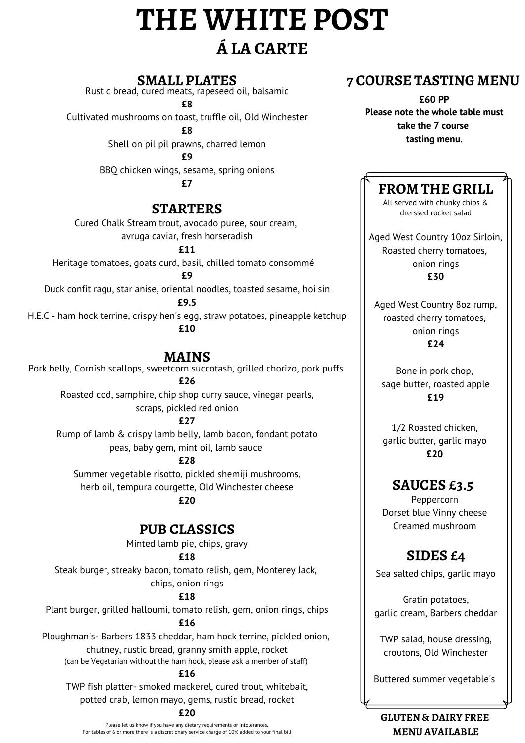# **THE WHITE POST Á LA CARTE**

#### **SMALL PLATES**

Rustic bread, cured meats, rapeseed oil, balsamic

**£8** Cultivated mushrooms on toast, truffle oil, Old Winchester

**£8**

Shell on pil pil prawns, charred lemon

**£9**

BBQ chicken wings, sesame, spring onions

**£7**

#### **STARTERS**

Cured Chalk Stream trout, avocado puree, sour cream, avruga caviar, fresh horseradish

**£11**

Heritage tomatoes, goats curd, basil, chilled tomato consommé

**£9**

Duck confit ragu, star anise, oriental noodles, toasted sesame, hoi sin

**£9.5**

H.E.C - ham hock terrine, crispy hen's egg, straw potatoes, pineapple ketchup **£10**

#### **MAINS**

Pork belly, Cornish scallops, sweetcorn succotash, grilled chorizo, pork puffs **£26**

Roasted cod, samphire, chip shop curry sauce, vinegar pearls, scraps, pickled red onion

**£27**

Rump of lamb & crispy lamb belly, lamb bacon, fondant potato peas, baby gem, mint oil, lamb sauce

**£28**

Summer vegetable risotto, pickled shemiji mushrooms, herb oil, tempura courgette, Old Winchester cheese

**£20**

# **PUB CLASSICS**

Minted lamb pie, chips, gravy

#### **£18**

Steak burger, streaky bacon, tomato relish, gem, Monterey Jack, chips, onion rings

**£18**

Plant burger, grilled halloumi, tomato relish, gem, onion rings, chips **£16**

Ploughman's- Barbers 1833 cheddar, ham hock terrine, pickled onion, chutney, rustic bread, granny smith apple, rocket (can be Vegetarian without the ham hock, please ask a member of staff)

**£16**

TWP fish platter- smoked mackerel, cured trout, whitebait, potted crab, lemon mayo, gems, rustic bread, rocket

#### **£20**

# **7 COURSE TASTING MENU**

**£60 PP Please note the whole table must take the 7 course tasting menu.**

# **FROM THE GRILL**

All served with chunky chips & drerssed rocket salad

Aged West Country 10oz Sirloin, Roasted cherry tomatoes, onion rings **£30**

Aged West Country 8oz rump, roasted cherry tomatoes, onion rings **£24**

Bone in pork chop, sage butter, roasted apple **£19**

1/2 Roasted chicken, garlic butter, garlic mayo **£20**

# **SAUCES £3.5**

Peppercorn Dorset blue Vinny cheese Creamed mushroom

# **SIDES £4**

Sea salted chips, garlic mayo

Gratin potatoes, garlic cream, Barbers cheddar

TWP salad, house dressing, croutons, Old Winchester

Buttered summer vegetable's

#### **GLUTEN & DAIRY FREE MENU AVAILABLE**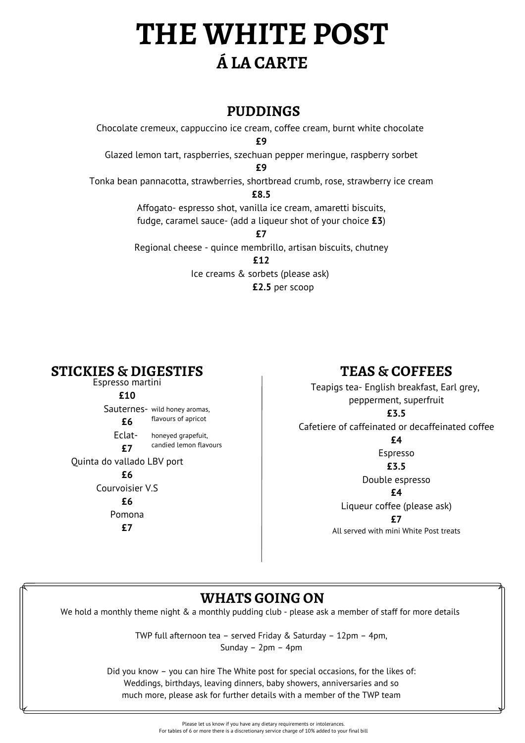# **THE WHITE POST Á LA CARTE**

## **PUDDINGS**

Chocolate cremeux, cappuccino ice cream, coffee cream, burnt white chocolate **£9** Glazed lemon tart, raspberries, szechuan pepper meringue, raspberry sorbet **£9** Tonka bean pannacotta, strawberries, shortbread crumb, rose, strawberry ice cream **£8.5** Affogato- espresso shot, vanilla ice cream, amaretti biscuits, fudge, caramel sauce- (add a liqueur shot of your choice **£3**) **£7** Regional cheese - quince membrillo, artisan biscuits, chutney **£12** Ice creams & sorbets (please ask)

**£2.5** per scoop

Espresso martini **£10** Sauternes- wild honey aromas, **£6** Eclat- **£7** Quinta do vallado LBV port **£6** Courvoisier V.S **£6** Pomona **£7** flavours of apricot honeyed grapefuit, candied lemon flavours

# **STICKIES & DIGESTIFS TEAS & COFFEES**

Teapigs tea- English breakfast, Earl grey, pepperment, superfruit **£3.5** Cafetiere of caffeinated or decaffeinated coffee **£4**

> Espresso **£3.5** Double espresso **£4** Liqueur coffee (please ask) **£7** All served with mini White Post treats

# **WHATS GOING ON**

We hold a monthly theme night & a monthly pudding club - please ask a member of staff for more details

TWP full afternoon tea – served Friday & Saturday – 12pm – 4pm, Sunday – 2pm – 4pm

Did you know – you can hire The White post for special occasions, for the likes of: Weddings, birthdays, leaving dinners, baby showers, anniversaries and so much more, please ask for further details with a member of the TWP team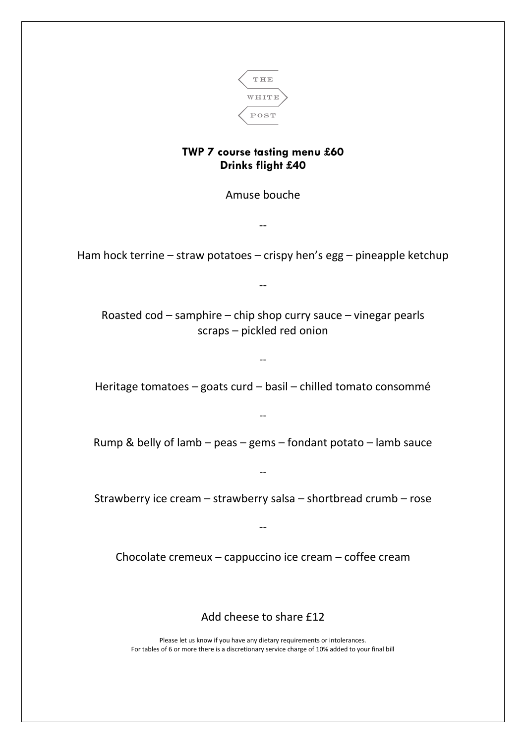

#### **TWP 7 course tasting menu £60 Drinks flight £40**

Amuse bouche

--

Ham hock terrine – straw potatoes – crispy hen's egg – pineapple ketchup

--

Roasted cod – samphire – chip shop curry sauce – vinegar pearls scraps – pickled red onion

Heritage tomatoes – goats curd – basil – chilled tomato consommé

--

Rump & belly of lamb – peas – gems – fondant potato – lamb sauce

 $\overline{a}$ 

--

Strawberry ice cream – strawberry salsa – shortbread crumb – rose

--

Chocolate cremeux – cappuccino ice cream – coffee cream

Add cheese to share £12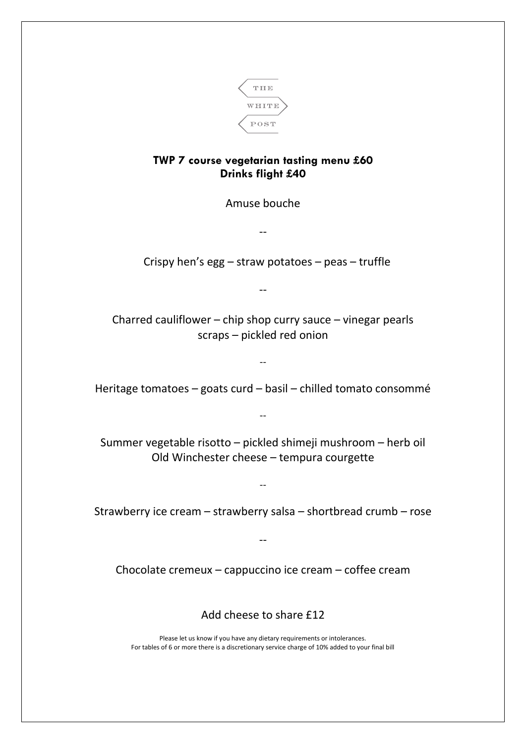

#### **TWP 7 course vegetarian tasting menu £60 Drinks flight £40**

Amuse bouche

--

Crispy hen's egg – straw potatoes – peas – truffle

--

Charred cauliflower – chip shop curry sauce – vinegar pearls scraps – pickled red onion

Heritage tomatoes – goats curd – basil – chilled tomato consommé

--

--

Summer vegetable risotto – pickled shimeji mushroom – herb oil Old Winchester cheese – tempura courgette

Strawberry ice cream – strawberry salsa – shortbread crumb – rose

--

Chocolate cremeux – cappuccino ice cream – coffee cream

--

Add cheese to share £12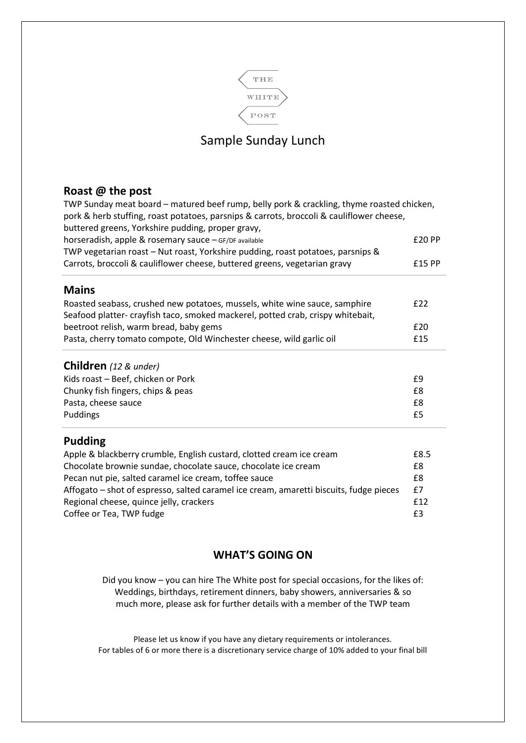

## Sample Sunday Lunch

#### **Roast @ the post**

TWP Sunday meat board – matured beef rump, belly pork & crackling, thyme roasted chicken, pork & herb stuffing, roast potatoes, parsnips & carrots, broccoli & cauliflower cheese, buttered greens, Yorkshire pudding, proper gravy, horseradish, apple & rosemary sauce – GF/DF available **EXALL EXALL EXALL EXALL EXALL EXALL EXALL EXALL EXALL EXALL** TWP vegetarian roast – Nut roast, Yorkshire pudding, roast potatoes, parsnips & Carrots, broccoli & cauliflower cheese, buttered greens, vegetarian gravy £15 PP **Mains** Roasted seabass, crushed new potatoes, mussels, white wine sauce, samphire  $f22$ Seafood platter- crayfish taco, smoked mackerel, potted crab, crispy whitebait, beetroot relish, warm bread, baby gems £20 Pasta, cherry tomato compote, Old Winchester cheese, wild garlic oil **E**15 **Children** *(12 & under)* Kids roast – Beef, chicken or Pork **E9** Chunky fish fingers, chips & peas £8 Pasta, cheese sauce **EXEC EXECUTE:**  $\overline{28}$ Puddings **E5 Pudding** Apple & blackberry crumble, English custard, clotted cream ice cream £8.5 Chocolate brownie sundae, chocolate sauce, chocolate ice cream £8 Pecan nut pie, salted caramel ice cream, toffee sauce **EXEC 100 FM** 120 FM Affogato – shot of espresso, salted caramel ice cream, amaretti biscuits, fudge pieces £7 Regional cheese, quince jelly, crackers **E12 E12** Coffee or Tea, TWP fudge  $\qquad \qquad$  E3

#### **WHAT'S GOING ON**

Did you know – you can hire The White post for special occasions, for the likes of: Weddings, birthdays, retirement dinners, baby showers, anniversaries & so much more, please ask for further details with a member of the TWP team